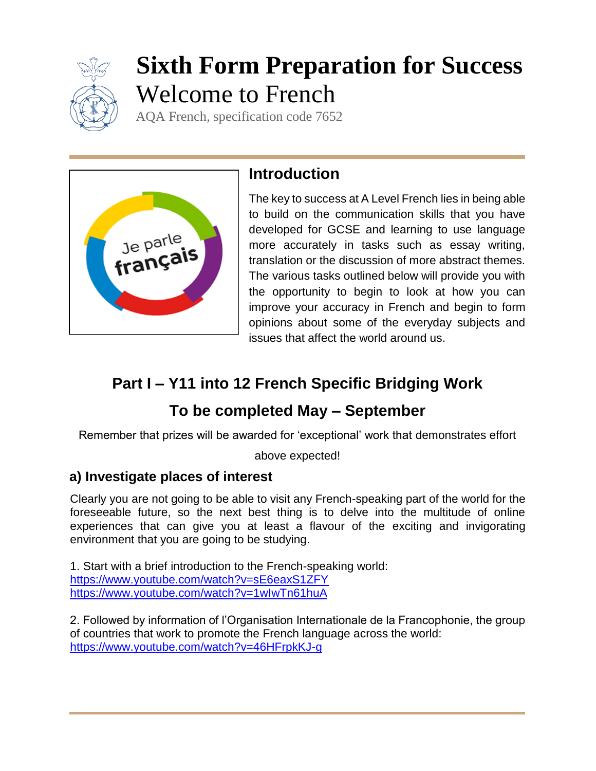

# **Sixth Form Preparation for Success** Welcome to French

AQA French, specification code 7652



## **Introduction**

The key to success at A Level French lies in being able to build on the communication skills that you have developed for GCSE and learning to use language more accurately in tasks such as essay writing, translation or the discussion of more abstract themes. The various tasks outlined below will provide you with the opportunity to begin to look at how you can improve your accuracy in French and begin to form opinions about some of the everyday subjects and issues that affect the world around us.

# **Part I – Y11 into 12 French Specific Bridging Work**

## **To be completed May – September**

Remember that prizes will be awarded for 'exceptional' work that demonstrates effort

#### above expected!

#### **a) Investigate places of interest**

Clearly you are not going to be able to visit any French-speaking part of the world for the foreseeable future, so the next best thing is to delve into the multitude of online experiences that can give you at least a flavour of the exciting and invigorating environment that you are going to be studying.

1. Start with a brief introduction to the French-speaking world: <https://www.youtube.com/watch?v=sE6eaxS1ZFY> <https://www.youtube.com/watch?v=1wIwTn61huA>

2. Followed by information of l'Organisation Internationale de la Francophonie, the group of countries that work to promote the French language across the world: <https://www.youtube.com/watch?v=46HFrpkKJ-g>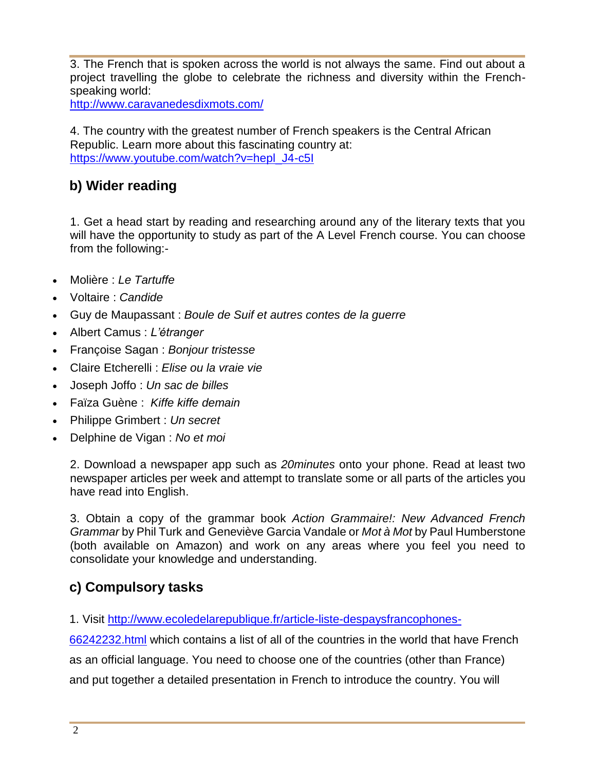3. The French that is spoken across the world is not always the same. Find out about a project travelling the globe to celebrate the richness and diversity within the Frenchspeaking world:

<http://www.caravanedesdixmots.com/>

4. The country with the greatest number of French speakers is the Central African Republic. Learn more about this fascinating country at: [https://www.youtube.com/watch?v=hepl\\_J4-c5I](https://www.youtube.com/watch?v=hepl_J4-c5I)

#### **b) Wider reading**

1. Get a head start by reading and researching around any of the literary texts that you will have the opportunity to study as part of the A Level French course. You can choose from the following:-

- Molière : *Le Tartuffe*
- Voltaire : *Candide*
- Guy de Maupassant : *Boule de Suif et autres contes de la guerre*
- Albert Camus : *L'étranger*
- Françoise Sagan : *Bonjour tristesse*
- Claire Etcherelli : *Elise ou la vraie vie*
- Joseph Joffo : *Un sac de billes*
- Faïza Guène : *Kiffe kiffe demain*
- Philippe Grimbert : *Un secret*
- Delphine de Vigan : *No et moi*

2. Download a newspaper app such as *20minutes* onto your phone. Read at least two newspaper articles per week and attempt to translate some or all parts of the articles you have read into English.

3. Obtain a copy of the grammar book *Action Grammaire!: New Advanced French Grammar* by [Phil Turk](https://www.amazon.co.uk/Phil-Turk/e/B0034OQ2CY/ref=sr_ntt_srch_lnk_1?qid=1532075898&sr=1-1) and Geneviève Garcia Vandale or *Mot à Mot* by Paul Humberstone (both available on Amazon) and work on any areas where you feel you need to consolidate your knowledge and understanding.

#### **c) Compulsory tasks**

1. Visit [http://www.ecoledelarepublique.fr/article-liste-despaysfrancophones-](http://www.ecoledelarepublique.fr/article-liste-despaysfrancophones-66242232.html)

[66242232.html](http://www.ecoledelarepublique.fr/article-liste-despaysfrancophones-66242232.html) which contains a list of all of the countries in the world that have French as an official language. You need to choose one of the countries (other than France) and put together a detailed presentation in French to introduce the country. You will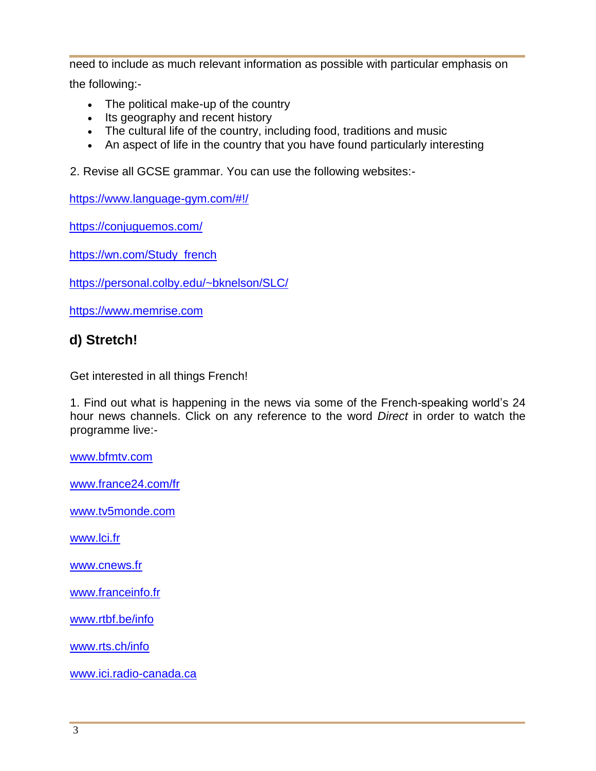need to include as much relevant information as possible with particular emphasis on the following:-

- The political make-up of the country
- Its geography and recent history
- The cultural life of the country, including food, traditions and music
- An aspect of life in the country that you have found particularly interesting

2. Revise all GCSE grammar. You can use the following websites:-

<https://www.language-gym.com/#!/>

<https://conjuguemos.com/>

[https://wn.com/Study\\_french](https://wn.com/Study_french)

<https://personal.colby.edu/~bknelson/SLC/>

[https://www.memrise.com](https://www.memrise.com/)

#### **d) Stretch!**

Get interested in all things French!

1. Find out what is happening in the news via some of the French-speaking world's 24 hour news channels. Click on any reference to the word *Direct* in order to watch the programme live:-

[www.bfmtv.com](http://www.bfmtv.com/)

[www.france24.com/fr](http://www.france24.com/fr)

[www.tv5monde.com](http://www.tv5monde.com/)

[www.lci.fr](http://www.lci.fr/)

[www.cnews.fr](http://www.cnews.fr/)

[www.franceinfo.fr](http://www.franceinfo.fr/)

[www.rtbf.be/info](http://www.rtbf.be/info)

[www.rts.ch/info](http://www.rts.ch/info)

[www.ici.radio-canada.ca](http://www.ici.radio-canada.ca/)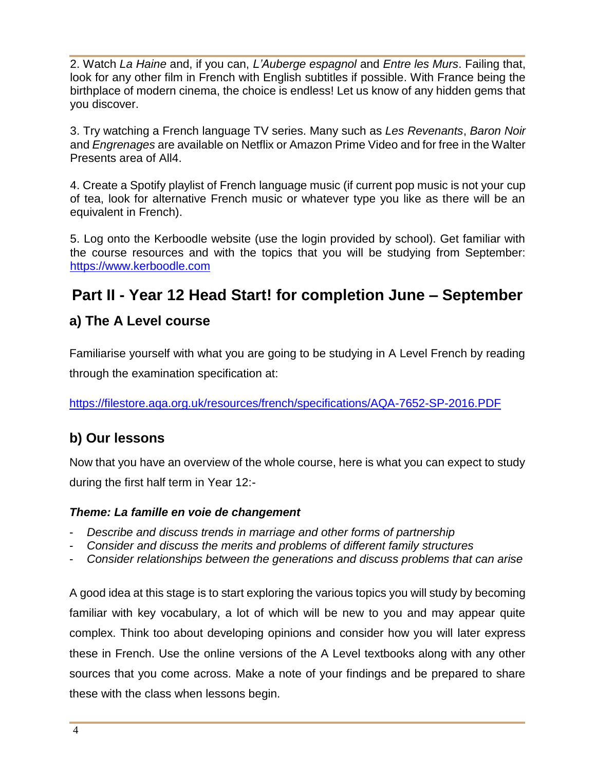2. Watch *La Haine* and, if you can, *L'Auberge espagnol* and *Entre les Murs*. Failing that, look for any other film in French with English subtitles if possible. With France being the birthplace of modern cinema, the choice is endless! Let us know of any hidden gems that you discover.

3. Try watching a French language TV series. Many such as *Les Revenants*, *Baron Noir*  and *Engrenages* are available on Netflix or Amazon Prime Video and for free in the Walter Presents area of All4.

4. Create a Spotify playlist of French language music (if current pop music is not your cup of tea, look for alternative French music or whatever type you like as there will be an equivalent in French).

5. Log onto the Kerboodle website (use the login provided by school). Get familiar with the course resources and with the topics that you will be studying from September: [https://www.kerboodle.com](https://www.kerboodle.com/)

## **Part II - Year 12 Head Start! for completion June – September**

#### **a) The A Level course**

Familiarise yourself with what you are going to be studying in A Level French by reading through the examination specification at:

<https://filestore.aqa.org.uk/resources/french/specifications/AQA-7652-SP-2016.PDF>

### **b) Our lessons**

Now that you have an overview of the whole course, here is what you can expect to study during the first half term in Year 12:-

#### *Theme: La famille en voie de changement*

- *Describe and discuss trends in marriage and other forms of partnership*
- *Consider and discuss the merits and problems of different family structures*
- *Consider relationships between the generations and discuss problems that can arise*

A good idea at this stage is to start exploring the various topics you will study by becoming familiar with key vocabulary, a lot of which will be new to you and may appear quite complex. Think too about developing opinions and consider how you will later express these in French. Use the online versions of the A Level textbooks along with any other sources that you come across. Make a note of your findings and be prepared to share these with the class when lessons begin.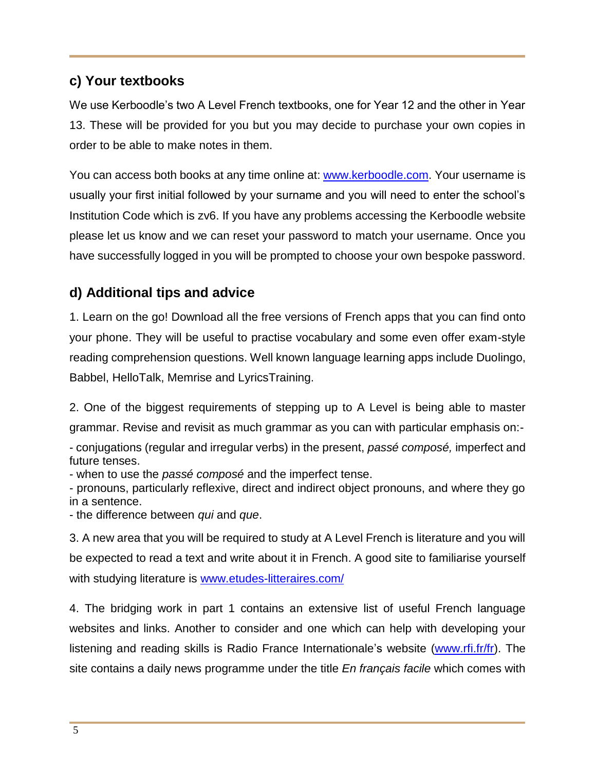#### **c) Your textbooks**

We use Kerboodle's two A Level French textbooks, one for Year 12 and the other in Year 13. These will be provided for you but you may decide to purchase your own copies in order to be able to make notes in them.

You can access both books at any time online at: **www.kerboodle.com**. Your username is usually your first initial followed by your surname and you will need to enter the school's Institution Code which is zv6. If you have any problems accessing the Kerboodle website please let us know and we can reset your password to match your username. Once you have successfully logged in you will be prompted to choose your own bespoke password.

#### **d) Additional tips and advice**

1. Learn on the go! Download all the free versions of French apps that you can find onto your phone. They will be useful to practise vocabulary and some even offer exam-style reading comprehension questions. Well known language learning apps include Duolingo, Babbel, HelloTalk, Memrise and LyricsTraining.

2. One of the biggest requirements of stepping up to A Level is being able to master grammar. Revise and revisit as much grammar as you can with particular emphasis on:-

- conjugations (regular and irregular verbs) in the present, *passé composé,* imperfect and future tenses.

- when to use the *passé composé* and the imperfect tense.

- pronouns, particularly reflexive, direct and indirect object pronouns, and where they go in a sentence.

- the difference between *qui* and *que*.

3. A new area that you will be required to study at A Level French is literature and you will be expected to read a text and write about it in French. A good site to familiarise yourself with studying literature is [www.etudes-litteraires.com/](http://www.etudes-litteraires.com/)

4. The bridging work in part 1 contains an extensive list of useful French language websites and links. Another to consider and one which can help with developing your listening and reading skills is Radio France Internationale's website [\(www.rfi.fr/fr\)](http://www.rfi.fr/fr). The site contains a daily news programme under the title *En français facile* which comes with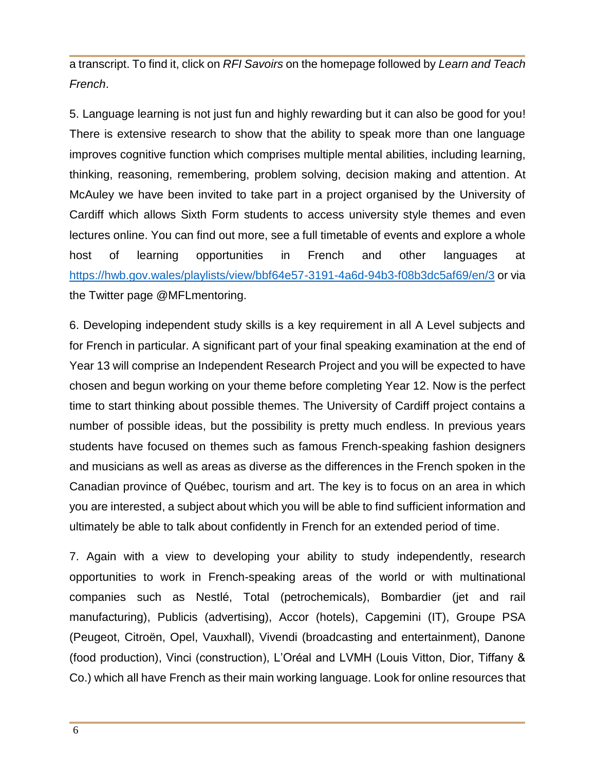a transcript. To find it, click on *RFI Savoirs* on the homepage followed by *Learn and Teach French*.

5. Language learning is not just fun and highly rewarding but it can also be good for you! There is extensive research to show that the ability to speak more than one language improves cognitive function which comprises multiple mental abilities, including learning, thinking, reasoning, remembering, problem solving, decision making and attention. At McAuley we have been invited to take part in a project organised by the University of Cardiff which allows Sixth Form students to access university style themes and even lectures online. You can find out more, see a full timetable of events and explore a whole host of learning opportunities in French and other languages at [https://hwb.gov.wales/playlists/view/bbf64e57-3191-4a6d-94b3-f08b3dc5af69/en/3](https://owa2.mcauley.org.uk/owa/redir.aspx?C=ims_hM7vXGPo-wGsybshQOrV3gCbynl7PidYw_1o3Cvgx5f4LgbYCA..&URL=https%3a%2f%2fhwb.gov.wales%2fplaylists%2fview%2fbbf64e57-3191-4a6d-94b3-f08b3dc5af69%2fen%2f3) or via the Twitter page @MFLmentoring.

6. Developing independent study skills is a key requirement in all A Level subjects and for French in particular. A significant part of your final speaking examination at the end of Year 13 will comprise an Independent Research Project and you will be expected to have chosen and begun working on your theme before completing Year 12. Now is the perfect time to start thinking about possible themes. The University of Cardiff project contains a number of possible ideas, but the possibility is pretty much endless. In previous years students have focused on themes such as famous French-speaking fashion designers and musicians as well as areas as diverse as the differences in the French spoken in the Canadian province of Québec, tourism and art. The key is to focus on an area in which you are interested, a subject about which you will be able to find sufficient information and ultimately be able to talk about confidently in French for an extended period of time.

7. Again with a view to developing your ability to study independently, research opportunities to work in French-speaking areas of the world or with multinational companies such as Nestlé, Total (petrochemicals), Bombardier (jet and rail manufacturing), Publicis (advertising), Accor (hotels), Capgemini (IT), Groupe PSA (Peugeot, Citroën, Opel, Vauxhall), Vivendi (broadcasting and entertainment), Danone (food production), Vinci (construction), L'Oréal and LVMH (Louis Vitton, Dior, Tiffany & Co.) which all have French as their main working language. Look for online resources that